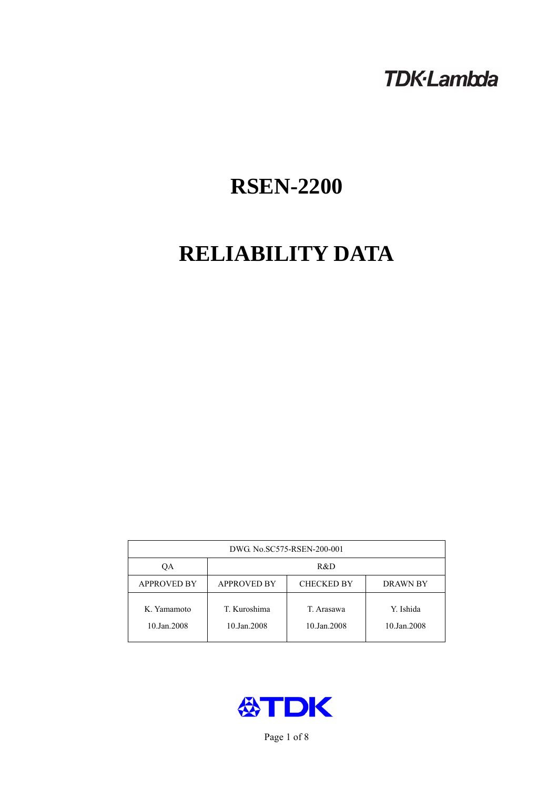## **TDK-Lambda**

# **RSEN-2200**

# **RELIABILITY DATA**

| DWG. No.SC575-RSEN-200-001 |                                                     |                           |                          |  |  |
|----------------------------|-----------------------------------------------------|---------------------------|--------------------------|--|--|
| OА                         | R&D                                                 |                           |                          |  |  |
| <b>APPROVED BY</b>         | <b>APPROVED BY</b><br><b>CHECKED BY</b><br>DRAWN BY |                           |                          |  |  |
| K. Yamamoto<br>10.Jan.2008 | T. Kuroshima<br>10.Jan.2008                         | T. Arasawa<br>10.Jan.2008 | Y. Ishida<br>10.Jan.2008 |  |  |



Page 1 of 8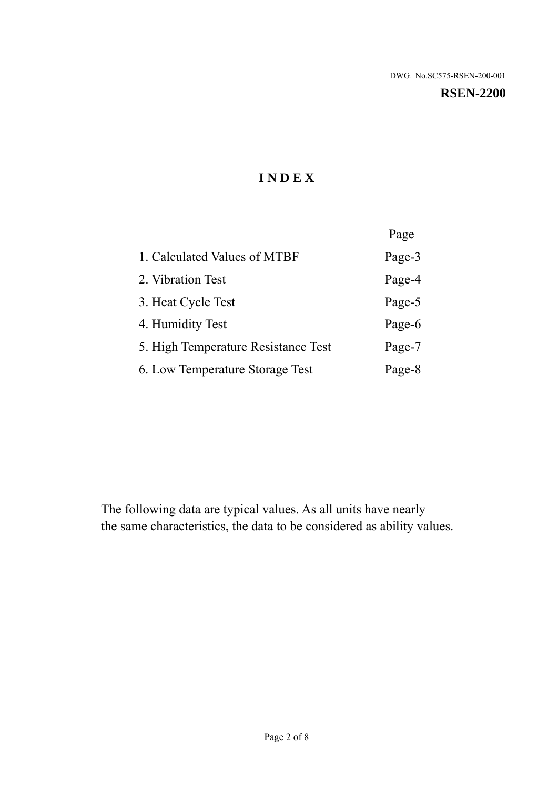## **I N D E X**

|                                     | Page   |
|-------------------------------------|--------|
| 1. Calculated Values of MTBF        | Page-3 |
| 2. Vibration Test                   | Page-4 |
| 3. Heat Cycle Test                  | Page-5 |
| 4. Humidity Test                    | Page-6 |
| 5. High Temperature Resistance Test | Page-7 |
| 6. Low Temperature Storage Test     | Page-8 |

The following data are typical values. As all units have nearly the same characteristics, the data to be considered as ability values.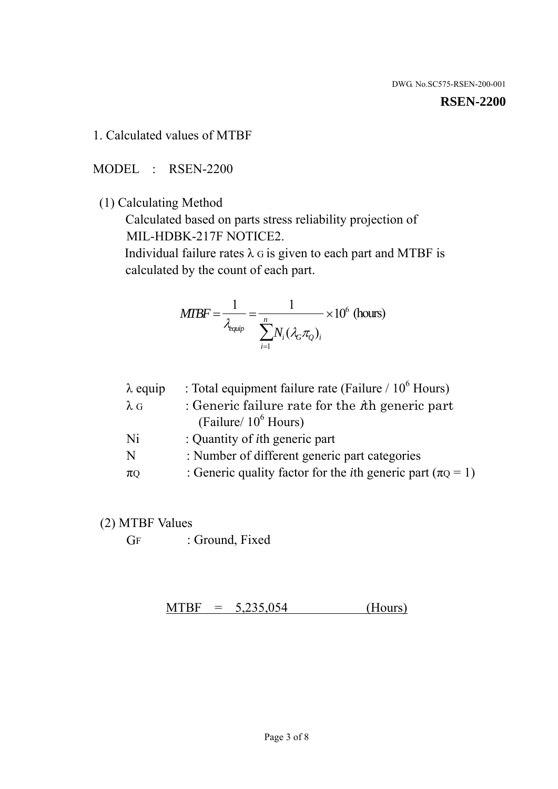#### **RSEN-2200**

1. Calculated values of MTBF

MODEL : RSEN-2200

(1) Calculating Method

 Calculated based on parts stress reliability projection of MIL-HDBK-217F NOTICE2.

Individual failure rates  $\lambda$  G is given to each part and MTBF is calculated by the count of each part.

$$
MIBF = \frac{1}{\lambda_{\text{equip}}} = \frac{1}{\sum_{i=1}^{n} N_i (\lambda_G \pi_Q)_i} \times 10^6 \text{ (hours)}
$$

| $\lambda$ equip | : Total equipment failure rate (Failure $/ 10^6$ Hours)                   |
|-----------------|---------------------------------------------------------------------------|
| $\lambda$ G     | : Generic failure rate for the $\hbar$ generic part                       |
|                 | (Failure/ $10^6$ Hours)                                                   |
| Ni              | : Quantity of <i>i</i> th generic part                                    |
| N               | : Number of different generic part categories                             |
| $\pi$ Q         | : Generic quality factor for the <i>i</i> th generic part ( $\pi Q = 1$ ) |

- (2) MTBF Values
	- GF : Ground, Fixed

 $MTBF = 5,235,054$  (Hours)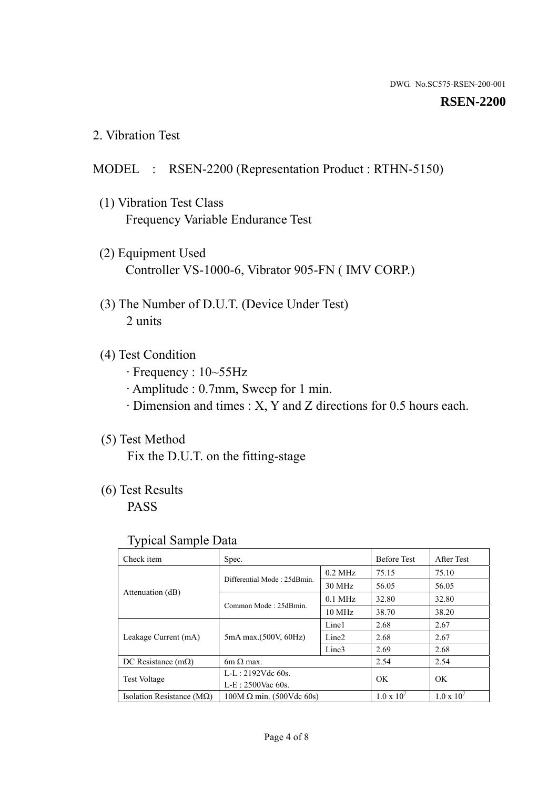#### **RSEN-2200**

2. Vibration Test

## MODEL : RSEN-2200 (Representation Product : RTHN-5150)

- (1) Vibration Test Class Frequency Variable Endurance Test
- (2) Equipment Used Controller VS-1000-6, Vibrator 905-FN ( IMV CORP.)
- (3) The Number of D.U.T. (Device Under Test) 2 units
- (4) Test Condition
	- · Frequency : 10~55Hz
	- · Amplitude : 0.7mm, Sweep for 1 min.
	- · Dimension and times : X, Y and Z directions for 0.5 hours each.

## (5) Test Method

Fix the D.U.T. on the fitting-stage

## (6) Test Results

PASS

#### Typical Sample Data

| Check item                         | Spec.                           |                   | <b>Before Test</b>  | After Test          |
|------------------------------------|---------------------------------|-------------------|---------------------|---------------------|
|                                    | Differential Mode: 25dBmin.     | $0.2$ MHz         | 75.15               | 75.10               |
|                                    |                                 | 30 MHz            | 56.05               | 56.05               |
| Attenuation (dB)                   | Common Mode: 25dBmin.           | $0.1$ MHz         | 32.80               | 32.80               |
|                                    |                                 | $10 \text{ MHz}$  | 38.70               | 38.20               |
| Leakage Current (mA)               | 5mA max.(500V, 60Hz)            | Line1             | 2.68                | 2.67                |
|                                    |                                 | Line <sub>2</sub> | 2.68                | 2.67                |
|                                    |                                 | Line3             | 2.69                | 2.68                |
| DC Resistance $(m\Omega)$          | $6m \Omega$ max.                |                   | 2.54                | 2.54                |
| <b>Test Voltage</b>                | $L-L: 2192Vdc$ 60s.             |                   | OK                  | OK                  |
|                                    | $L-E$ : 2500Vac 60s.            |                   |                     |                     |
| Isolation Resistance ( $M\Omega$ ) | $100M \Omega$ min. (500Vdc 60s) |                   | $1.0 \times 10^{7}$ | $1.0 \times 10^{7}$ |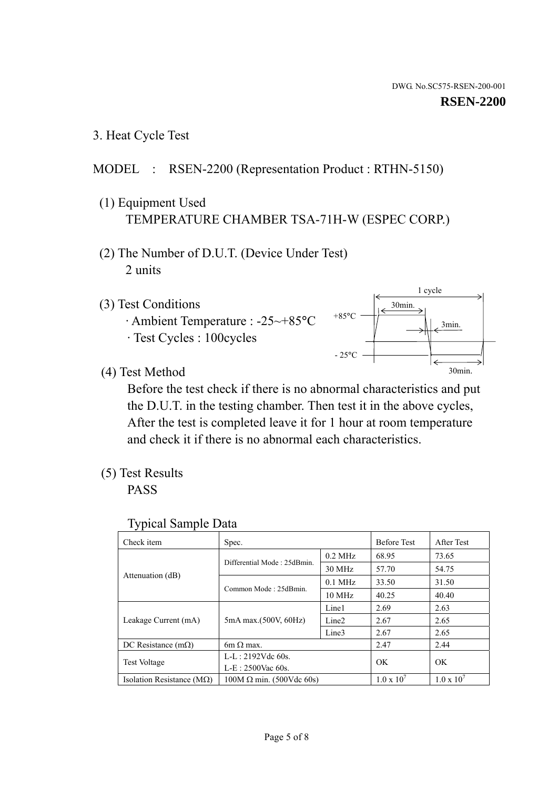1 cycle

30min.

3min.

30min.

3. Heat Cycle Test

### MODEL : RSEN-2200 (Representation Product : RTHN-5150)

- (1) Equipment Used TEMPERATURE CHAMBER TSA-71H-W (ESPEC CORP.)
- (2) The Number of D.U.T. (Device Under Test) 2 units
- (3) Test Conditions
	- · Ambient Temperature : -25~+85°C · Test Cycles : 100cycles
- (4) Test Method

 Before the test check if there is no abnormal characteristics and put the D.U.T. in the testing chamber. Then test it in the above cycles, After the test is completed leave it for 1 hour at room temperature and check it if there is no abnormal each characteristics.

+85°C

 $-25^{\circ}$ C

(5) Test Results

PASS

| <b>Typical Sample Data</b> |  |
|----------------------------|--|
|                            |  |

| Check item                         | Spec.                           |                   | <b>Before Test</b>  | After Test          |
|------------------------------------|---------------------------------|-------------------|---------------------|---------------------|
|                                    | Differential Mode: 25dBmin.     | $0.2$ MHz         | 68.95               | 73.65               |
|                                    |                                 | $30$ MHz          | 57.70               | 54.75               |
| Attenuation (dB)                   | Common Mode: 25dBmin.           | $0.1$ MHz         | 33.50               | 31.50               |
|                                    |                                 | $10$ MHz          | 40.25               | 40.40               |
| Leakage Current (mA)               | 5mA max.(500V, 60Hz)            | Line1             | 2.69                | 2.63                |
|                                    |                                 | Line <sub>2</sub> | 2.67                | 2.65                |
|                                    |                                 | Line3             | 2.67                | 2.65                |
| DC Resistance $(m\Omega)$          | 6m $\Omega$ max.                |                   | 2.47                | 2.44                |
| Test Voltage                       | $L-L: 2192Vdc$ 60s.             |                   | OK                  | OK                  |
|                                    | $L-E$ : 2500Vac 60s.            |                   |                     |                     |
| Isolation Resistance ( $M\Omega$ ) | $100M \Omega$ min. (500Vdc 60s) |                   | $1.0 \times 10^{7}$ | $1.0 \times 10^{7}$ |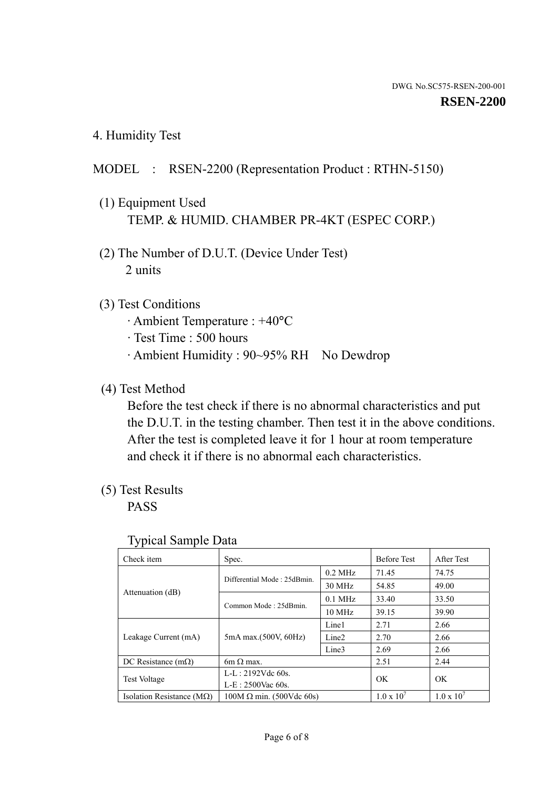4. Humidity Test

## MODEL : RSEN-2200 (Representation Product : RTHN-5150)

- (1) Equipment Used TEMP. & HUMID. CHAMBER PR-4KT (ESPEC CORP.)
- (2) The Number of D.U.T. (Device Under Test) 2 units

### (3) Test Conditions

- · Ambient Temperature : +40°C
- · Test Time : 500 hours
- · Ambient Humidity : 90~95% RH No Dewdrop

## (4) Test Method

 Before the test check if there is no abnormal characteristics and put the D.U.T. in the testing chamber. Then test it in the above conditions. After the test is completed leave it for 1 hour at room temperature and check it if there is no abnormal each characteristics.

### (5) Test Results

PASS

| Check item                         | Spec.                           |                   | <b>Before Test</b>  | After Test          |
|------------------------------------|---------------------------------|-------------------|---------------------|---------------------|
|                                    | Differential Mode: 25dBmin.     | $0.2$ MHz         | 71.45               | 74.75               |
|                                    |                                 | 30 MHz            | 54.85               | 49.00               |
| Attenuation (dB)                   |                                 | $0.1$ MHz         | 33.40               | 33.50               |
|                                    | Common Mode: 25dBmin.           | 10 MHz            | 39.15               | 39.90               |
| Leakage Current (mA)               | 5mA max.(500V, 60Hz)            | Line1             | 2.71                | 2.66                |
|                                    |                                 | Line <sub>2</sub> | 2.70                | 2.66                |
|                                    |                                 | Line3             | 2.69                | 2.66                |
| DC Resistance $(m\Omega)$          | $6m \Omega$ max.                |                   | 2.51                | 2.44                |
| <b>Test Voltage</b>                | $L-L: 2192Vdc$ 60s.             |                   | OK                  | OK                  |
|                                    | $L-E: 2500$ Vac 60s.            |                   |                     |                     |
| Isolation Resistance ( $M\Omega$ ) | $100M \Omega$ min. (500Vdc 60s) |                   | $1.0 \times 10^{7}$ | $1.0 \times 10^{7}$ |

#### Typical Sample Data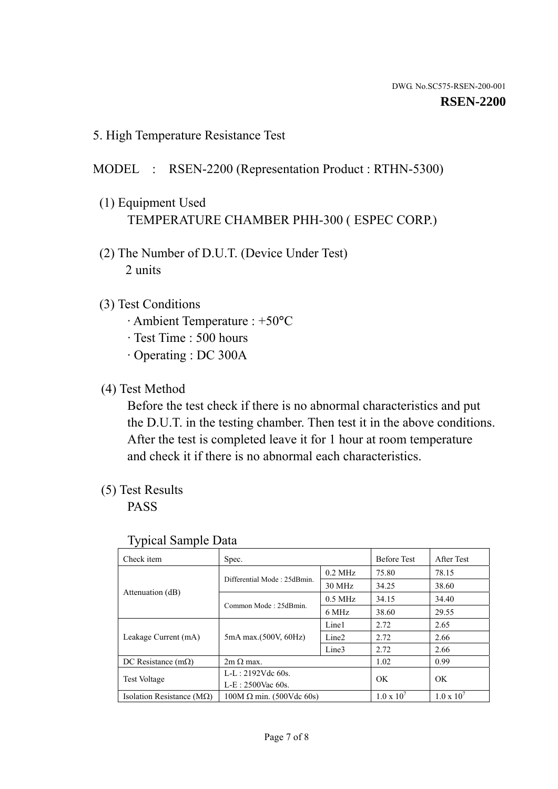5. High Temperature Resistance Test

## MODEL : RSEN-2200 (Representation Product : RTHN-5300)

- (1) Equipment Used TEMPERATURE CHAMBER PHH-300 ( ESPEC CORP.)
- (2) The Number of D.U.T. (Device Under Test) 2 units
- (3) Test Conditions
	- · Ambient Temperature : +50°C
	- · Test Time : 500 hours
	- · Operating : DC 300A
- (4) Test Method

 Before the test check if there is no abnormal characteristics and put the D.U.T. in the testing chamber. Then test it in the above conditions. After the test is completed leave it for 1 hour at room temperature and check it if there is no abnormal each characteristics.

(5) Test Results

PASS

| . .<br>Check item                  | Spec.                           |                   | <b>Before Test</b>  | After Test          |
|------------------------------------|---------------------------------|-------------------|---------------------|---------------------|
|                                    | Differential Mode: 25dBmin.     | $0.2$ MHz         | 75.80               | 78.15               |
|                                    |                                 | 30 MHz            | 34.25               | 38.60               |
| Attenuation (dB)                   | Common Mode: 25dBmin.           | $0.5$ MHz         | 34.15               | 34.40               |
|                                    |                                 | 6 MHz             | 38.60               | 29.55               |
| Leakage Current (mA)               | 5mA max.(500V, 60Hz)            | Line1             | 2.72                | 2.65                |
|                                    |                                 | Line <sub>2</sub> | 2.72                | 2.66                |
|                                    |                                 | Line3             | 2.72                | 2.66                |
| DC Resistance $(m\Omega)$          | $2m \Omega$ max.                |                   | 1.02                | 0.99                |
| <b>Test Voltage</b>                | $L-L: 2192Vdc$ 60s.             |                   | OK                  | OK                  |
|                                    | $L-E: 2500$ Vac 60s.            |                   |                     |                     |
| Isolation Resistance ( $M\Omega$ ) | $100M \Omega$ min. (500Vdc 60s) |                   | $1.0 \times 10^{7}$ | $1.0 \times 10^{7}$ |

#### Typical Sample Data